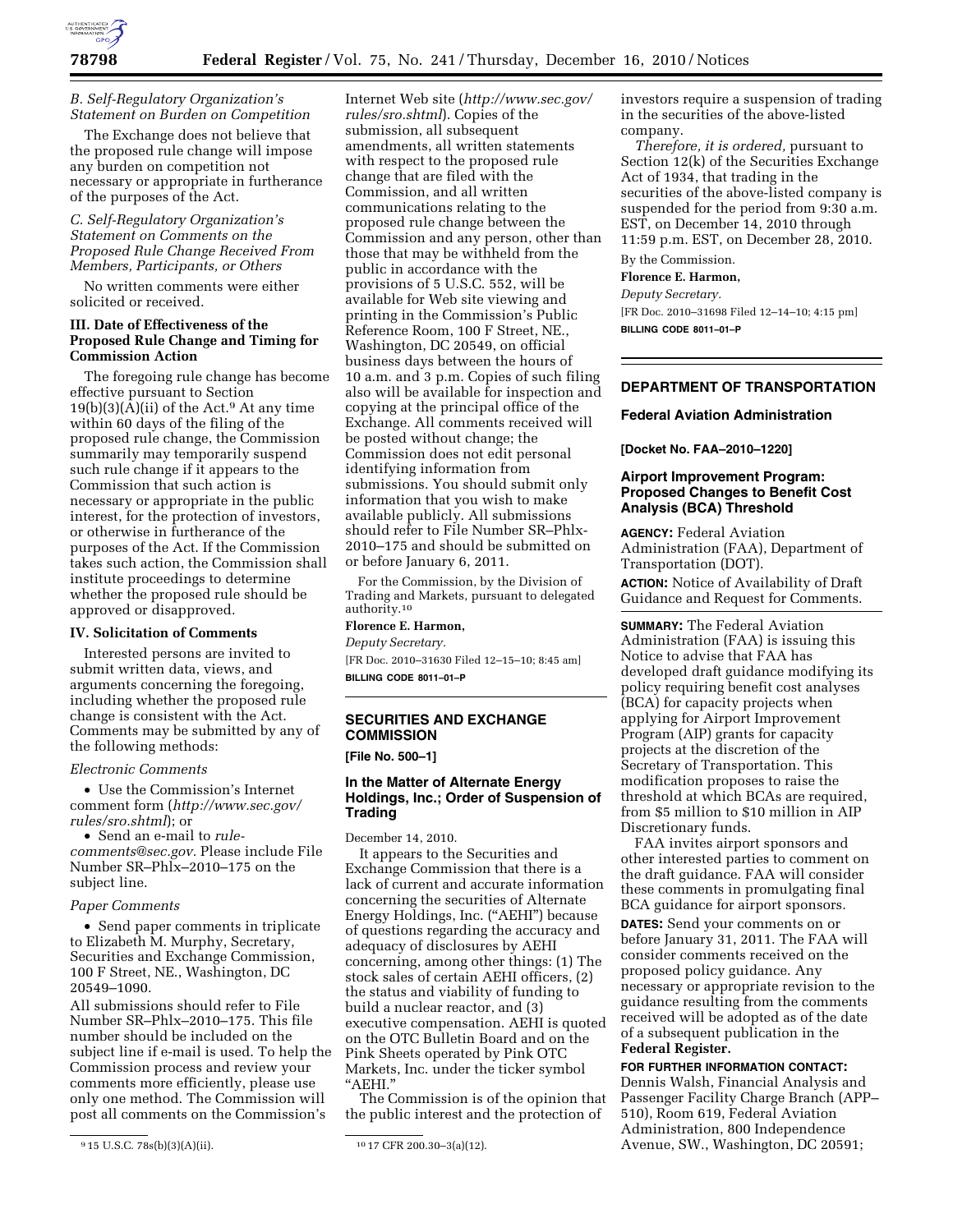

## *B. Self-Regulatory Organization's Statement on Burden on Competition*

The Exchange does not believe that the proposed rule change will impose any burden on competition not necessary or appropriate in furtherance of the purposes of the Act.

*C. Self-Regulatory Organization's Statement on Comments on the Proposed Rule Change Received From Members, Participants, or Others* 

No written comments were either solicited or received.

# **III. Date of Effectiveness of the Proposed Rule Change and Timing for Commission Action**

The foregoing rule change has become effective pursuant to Section 19(b)(3)( $\bar{A}$ )(ii) of the Act.<sup>9</sup> At any time within 60 days of the filing of the proposed rule change, the Commission summarily may temporarily suspend such rule change if it appears to the Commission that such action is necessary or appropriate in the public interest, for the protection of investors, or otherwise in furtherance of the purposes of the Act. If the Commission takes such action, the Commission shall institute proceedings to determine whether the proposed rule should be approved or disapproved.

#### **IV. Solicitation of Comments**

Interested persons are invited to submit written data, views, and arguments concerning the foregoing, including whether the proposed rule change is consistent with the Act. Comments may be submitted by any of the following methods:

## *Electronic Comments*

• Use the Commission's Internet comment form (*[http://www.sec.gov/](http://www.sec.gov/rules/sro.shtml)  [rules/sro.shtml](http://www.sec.gov/rules/sro.shtml)*); or

• Send an e-mail to *[rule](mailto:rule-comments@sec.gov)[comments@sec.gov.](mailto:rule-comments@sec.gov)* Please include File Number SR–Phlx–2010–175 on the subject line.

#### *Paper Comments*

• Send paper comments in triplicate to Elizabeth M. Murphy, Secretary, Securities and Exchange Commission, 100 F Street, NE., Washington, DC 20549–1090.

All submissions should refer to File Number SR–Phlx–2010–175. This file number should be included on the subject line if e-mail is used. To help the Commission process and review your comments more efficiently, please use only one method. The Commission will post all comments on the Commission's

Internet Web site (*[http://www.sec.gov/](http://www.sec.gov/rules/sro.shtml)  [rules/sro.shtml](http://www.sec.gov/rules/sro.shtml)*). Copies of the submission, all subsequent amendments, all written statements with respect to the proposed rule change that are filed with the Commission, and all written communications relating to the proposed rule change between the Commission and any person, other than those that may be withheld from the public in accordance with the provisions of 5 U.S.C. 552, will be available for Web site viewing and printing in the Commission's Public Reference Room, 100 F Street, NE., Washington, DC 20549, on official business days between the hours of 10 a.m. and 3 p.m. Copies of such filing also will be available for inspection and copying at the principal office of the Exchange. All comments received will be posted without change; the Commission does not edit personal identifying information from submissions. You should submit only information that you wish to make available publicly. All submissions should refer to File Number SR–Phlx-2010–175 and should be submitted on or before January 6, 2011.

For the Commission, by the Division of Trading and Markets, pursuant to delegated authority.10

#### **Florence E. Harmon,**

*Deputy Secretary.*  [FR Doc. 2010–31630 Filed 12–15–10; 8:45 am] **BILLING CODE 8011–01–P** 

## **SECURITIES AND EXCHANGE COMMISSION**

**[File No. 500–1]** 

## **In the Matter of Alternate Energy Holdings, Inc.; Order of Suspension of Trading**

December 14, 2010.

It appears to the Securities and Exchange Commission that there is a lack of current and accurate information concerning the securities of Alternate Energy Holdings, Inc. ("AEHI") because of questions regarding the accuracy and adequacy of disclosures by AEHI concerning, among other things: (1) The stock sales of certain AEHI officers, (2) the status and viability of funding to build a nuclear reactor, and (3) executive compensation. AEHI is quoted on the OTC Bulletin Board and on the Pink Sheets operated by Pink OTC Markets, Inc. under the ticker symbol ''AEHI.''

The Commission is of the opinion that the public interest and the protection of

investors require a suspension of trading in the securities of the above-listed company.

*Therefore, it is ordered,* pursuant to Section 12(k) of the Securities Exchange Act of 1934, that trading in the securities of the above-listed company is suspended for the period from 9:30 a.m. EST, on December 14, 2010 through 11:59 p.m. EST, on December 28, 2010.

# By the Commission.

**Florence E. Harmon,** 

*Deputy Secretary.* 

[FR Doc. 2010–31698 Filed 12–14–10; 4:15 pm] **BILLING CODE 8011–01–P** 

## **DEPARTMENT OF TRANSPORTATION**

#### **Federal Aviation Administration**

**[Docket No. FAA–2010–1220]** 

# **Airport Improvement Program: Proposed Changes to Benefit Cost Analysis (BCA) Threshold**

**AGENCY:** Federal Aviation Administration (FAA), Department of Transportation (DOT).

**ACTION:** Notice of Availability of Draft Guidance and Request for Comments.

**SUMMARY:** The Federal Aviation Administration (FAA) is issuing this Notice to advise that FAA has developed draft guidance modifying its policy requiring benefit cost analyses (BCA) for capacity projects when applying for Airport Improvement Program (AIP) grants for capacity projects at the discretion of the Secretary of Transportation. This modification proposes to raise the threshold at which BCAs are required, from \$5 million to \$10 million in AIP Discretionary funds.

FAA invites airport sponsors and other interested parties to comment on the draft guidance. FAA will consider these comments in promulgating final BCA guidance for airport sponsors.

**DATES:** Send your comments on or before January 31, 2011. The FAA will consider comments received on the proposed policy guidance. Any necessary or appropriate revision to the guidance resulting from the comments received will be adopted as of the date of a subsequent publication in the **Federal Register.** 

# **FOR FURTHER INFORMATION CONTACT:**

Dennis Walsh, Financial Analysis and Passenger Facility Charge Branch (APP– 510), Room 619, Federal Aviation Administration, 800 Independence Avenue, SW., Washington, DC 20591;

<sup>9</sup> 15 U.S.C. 78s(b)(3)(A)(ii). 10 17 CFR 200.30–3(a)(12).